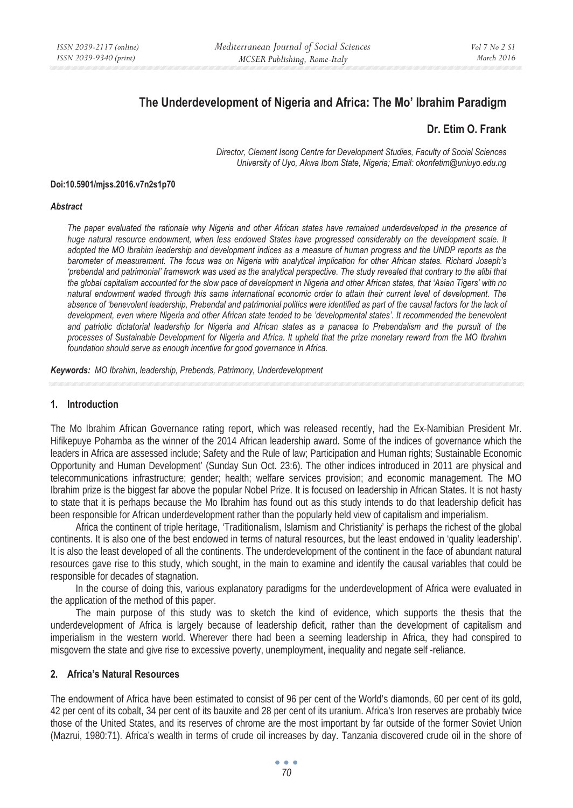# **The Underdevelopment of Nigeria and Africa: The Mo' Ibrahim Paradigm**

# **Dr. Etim O. Frank**

*Director, Clement Isong Centre for Development Studies, Faculty of Social Sciences University of Uyo, Akwa Ibom State, Nigeria; Email: okonfetim@uniuyo.edu.ng* 

#### **Doi:10.5901/mjss.2016.v7n2s1p70**

#### *Abstract*

The paper evaluated the rationale why Nigeria and other African states have remained underdeveloped in the presence of *huge natural resource endowment, when less endowed States have progressed considerably on the development scale. It adopted the MO Ibrahim leadership and development indices as a measure of human progress and the UNDP reports as the barometer of measurement. The focus was on Nigeria with analytical implication for other African states. Richard Joseph's 'prebendal and patrimonial' framework was used as the analytical perspective. The study revealed that contrary to the alibi that the global capitalism accounted for the slow pace of development in Nigeria and other African states, that 'Asian Tigers' with no natural endowment waded through this same international economic order to attain their current level of development. The absence of 'benevolent leadership, Prebendal and patrimonial politics were identified as part of the causal factors for the lack of development, even where Nigeria and other African state tended to be 'developmental states'. It recommended the benevolent and patriotic dictatorial leadership for Nigeria and African states as a panacea to Prebendalism and the pursuit of the processes of Sustainable Development for Nigeria and Africa. It upheld that the prize monetary reward from the MO Ibrahim foundation should serve as enough incentive for good governance in Africa.* 

*Keywords: MO Ibrahim, leadership, Prebends, Patrimony, Underdevelopment*

# **1. Introduction**

The Mo Ibrahim African Governance rating report, which was released recently, had the Ex-Namibian President Mr. Hifikepuye Pohamba as the winner of the 2014 African leadership award. Some of the indices of governance which the leaders in Africa are assessed include; Safety and the Rule of law; Participation and Human rights; Sustainable Economic Opportunity and Human Development' (Sunday Sun Oct. 23:6). The other indices introduced in 2011 are physical and telecommunications infrastructure; gender; health; welfare services provision; and economic management. The MO Ibrahim prize is the biggest far above the popular Nobel Prize. It is focused on leadership in African States. It is not hasty to state that it is perhaps because the Mo Ibrahim has found out as this study intends to do that leadership deficit has been responsible for African underdevelopment rather than the popularly held view of capitalism and imperialism.

Africa the continent of triple heritage, 'Traditionalism, Islamism and Christianity' is perhaps the richest of the global continents. It is also one of the best endowed in terms of natural resources, but the least endowed in 'quality leadership'. It is also the least developed of all the continents. The underdevelopment of the continent in the face of abundant natural resources gave rise to this study, which sought, in the main to examine and identify the causal variables that could be responsible for decades of stagnation.

In the course of doing this, various explanatory paradigms for the underdevelopment of Africa were evaluated in the application of the method of this paper.

The main purpose of this study was to sketch the kind of evidence, which supports the thesis that the underdevelopment of Africa is largely because of leadership deficit, rather than the development of capitalism and imperialism in the western world. Wherever there had been a seeming leadership in Africa, they had conspired to misgovern the state and give rise to excessive poverty, unemployment, inequality and negate self -reliance.

### **2. Africa's Natural Resources**

The endowment of Africa have been estimated to consist of 96 per cent of the World's diamonds, 60 per cent of its gold, 42 per cent of its cobalt, 34 per cent of its bauxite and 28 per cent of its uranium. Africa's Iron reserves are probably twice those of the United States, and its reserves of chrome are the most important by far outside of the former Soviet Union (Mazrui, 1980:71). Africa's wealth in terms of crude oil increases by day. Tanzania discovered crude oil in the shore of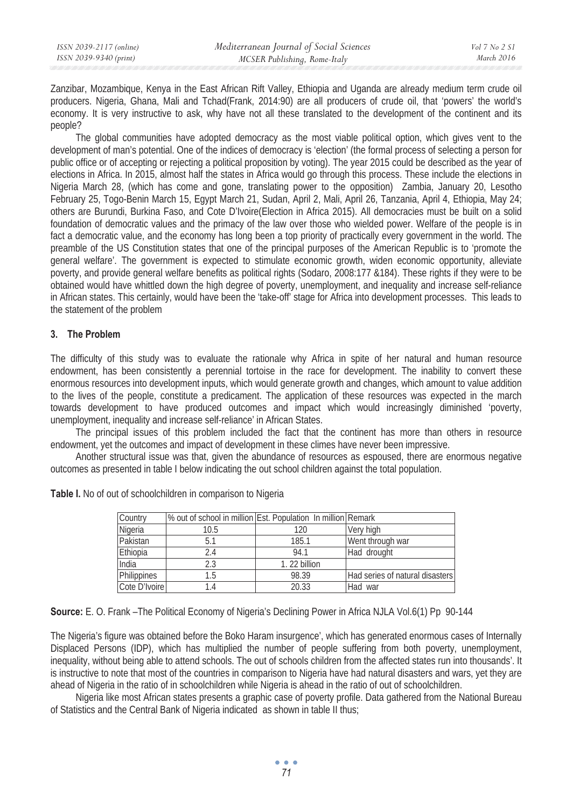| ISSN 2039-2117 (online) | Mediterranean Journal of Social Sciences | Vol 7 No 2 S1 |
|-------------------------|------------------------------------------|---------------|
| ISSN 2039-9340 (print)  | MCSER Publishing, Rome-Italy             | March 2016    |

Zanzibar, Mozambique, Kenya in the East African Rift Valley, Ethiopia and Uganda are already medium term crude oil producers. Nigeria, Ghana, Mali and Tchad(Frank, 2014:90) are all producers of crude oil, that 'powers' the world's economy. It is very instructive to ask, why have not all these translated to the development of the continent and its people?

The global communities have adopted democracy as the most viable political option, which gives vent to the development of man's potential. One of the indices of democracy is 'election' (the formal process of selecting a person for public office or of accepting or rejecting a political proposition by voting). The year 2015 could be described as the year of elections in Africa. In 2015, almost half the states in Africa would go through this process. These include the elections in Nigeria March 28, (which has come and gone, translating power to the opposition) Zambia, January 20, Lesotho February 25, Togo-Benin March 15, Egypt March 21, Sudan, April 2, Mali, April 26, Tanzania, April 4, Ethiopia, May 24; others are Burundi, Burkina Faso, and Cote D'Ivoire(Election in Africa 2015). All democracies must be built on a solid foundation of democratic values and the primacy of the law over those who wielded power. Welfare of the people is in fact a democratic value, and the economy has long been a top priority of practically every government in the world. The preamble of the US Constitution states that one of the principal purposes of the American Republic is to 'promote the general welfare'. The government is expected to stimulate economic growth, widen economic opportunity, alleviate poverty, and provide general welfare benefits as political rights (Sodaro, 2008:177 &184). These rights if they were to be obtained would have whittled down the high degree of poverty, unemployment, and inequality and increase self-reliance in African states. This certainly, would have been the 'take-off' stage for Africa into development processes. This leads to the statement of the problem

#### **3. The Problem**

The difficulty of this study was to evaluate the rationale why Africa in spite of her natural and human resource endowment, has been consistently a perennial tortoise in the race for development. The inability to convert these enormous resources into development inputs, which would generate growth and changes, which amount to value addition to the lives of the people, constitute a predicament. The application of these resources was expected in the march towards development to have produced outcomes and impact which would increasingly diminished 'poverty, unemployment, inequality and increase self-reliance' in African States.

The principal issues of this problem included the fact that the continent has more than others in resource endowment, yet the outcomes and impact of development in these climes have never been impressive.

Another structural issue was that, given the abundance of resources as espoused, there are enormous negative outcomes as presented in table I below indicating the out school children against the total population.

| Country       |      | % out of school in million Est. Population In million Remark |                                 |
|---------------|------|--------------------------------------------------------------|---------------------------------|
| Nigeria       | 10.5 | 120                                                          | Very high                       |
| Pakistan      | 5.1  | 185.1                                                        | Went through war                |
| Ethiopia      | 24   | 94.1                                                         | Had drought                     |
| India         | 2.3  | 1.22 billion                                                 |                                 |
| Philippines   | 1.5  | 98.39                                                        | Had series of natural disasters |
| Cote D'Ivoire |      | 20.33                                                        | iHad war                        |

**Table I.** No of out of schoolchildren in comparison to Nigeria

**Source:** E. O. Frank –The Political Economy of Nigeria's Declining Power in Africa NJLA Vol.6(1) Pp 90-144

The Nigeria's figure was obtained before the Boko Haram insurgence', which has generated enormous cases of Internally Displaced Persons (IDP), which has multiplied the number of people suffering from both poverty, unemployment, inequality, without being able to attend schools. The out of schools children from the affected states run into thousands'. It is instructive to note that most of the countries in comparison to Nigeria have had natural disasters and wars, yet they are ahead of Nigeria in the ratio of in schoolchildren while Nigeria is ahead in the ratio of out of schoolchildren.

Nigeria like most African states presents a graphic case of poverty profile. Data gathered from the National Bureau of Statistics and the Central Bank of Nigeria indicated as shown in table II thus;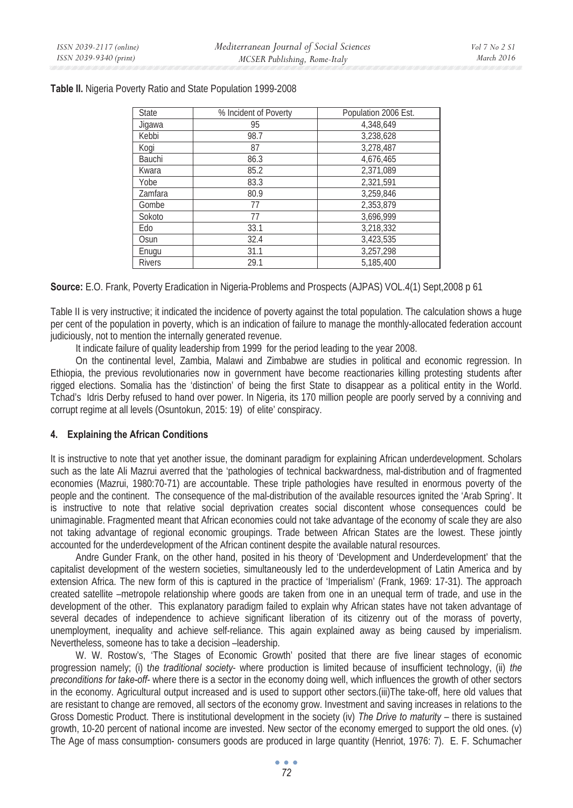| State         | % Incident of Poverty | Population 2006 Est. |
|---------------|-----------------------|----------------------|
| Jigawa        | 95                    | 4.348.649            |
| Kebbi         | 98.7                  | 3,238,628            |
| Kogi          | 87                    | 3,278,487            |
| Bauchi        | 86.3                  | 4.676.465            |
| Kwara         | 85.2                  | 2,371,089            |
| Yobe          | 83.3                  | 2,321,591            |
| Zamfara       | 80.9                  | 3,259,846            |
| Gombe         | 77                    | 2,353,879            |
| Sokoto        | 77                    | 3,696,999            |
| Edo           | 33.1                  | 3,218,332            |
| Osun          | 32.4                  | 3,423,535            |
| Enugu         | 31.1                  | 3,257,298            |
| <b>Rivers</b> | 29.1                  | 5.185.400            |

**Table II.** Nigeria Poverty Ratio and State Population 1999-2008

**Source:** E.O. Frank, Poverty Eradication in Nigeria-Problems and Prospects (AJPAS) VOL.4(1) Sept,2008 p 61

Table II is very instructive; it indicated the incidence of poverty against the total population. The calculation shows a huge per cent of the population in poverty, which is an indication of failure to manage the monthly-allocated federation account judiciously, not to mention the internally generated revenue.

It indicate failure of quality leadership from 1999 for the period leading to the year 2008.

On the continental level, Zambia, Malawi and Zimbabwe are studies in political and economic regression. In Ethiopia, the previous revolutionaries now in government have become reactionaries killing protesting students after rigged elections. Somalia has the 'distinction' of being the first State to disappear as a political entity in the World. Tchad's Idris Derby refused to hand over power. In Nigeria, its 170 million people are poorly served by a conniving and corrupt regime at all levels (Osuntokun, 2015: 19) of elite' conspiracy.

# **4. Explaining the African Conditions**

It is instructive to note that yet another issue, the dominant paradigm for explaining African underdevelopment. Scholars such as the late Ali Mazrui averred that the 'pathologies of technical backwardness, mal-distribution and of fragmented economies (Mazrui, 1980:70-71) are accountable. These triple pathologies have resulted in enormous poverty of the people and the continent. The consequence of the mal-distribution of the available resources ignited the 'Arab Spring'. It is instructive to note that relative social deprivation creates social discontent whose consequences could be unimaginable. Fragmented meant that African economies could not take advantage of the economy of scale they are also not taking advantage of regional economic groupings. Trade between African States are the lowest. These jointly accounted for the underdevelopment of the African continent despite the available natural resources.

Andre Gunder Frank, on the other hand, posited in his theory of 'Development and Underdevelopment' that the capitalist development of the western societies, simultaneously led to the underdevelopment of Latin America and by extension Africa. The new form of this is captured in the practice of 'Imperialism' (Frank, 1969: 17-31). The approach created satellite –metropole relationship where goods are taken from one in an unequal term of trade, and use in the development of the other. This explanatory paradigm failed to explain why African states have not taken advantage of several decades of independence to achieve significant liberation of its citizenry out of the morass of poverty, unemployment, inequality and achieve self-reliance. This again explained away as being caused by imperialism. Nevertheless, someone has to take a decision –leadership.

W. W. Rostow's, 'The Stages of Economic Growth' posited that there are five linear stages of economic progression namely; (i) t*he traditional society*- where production is limited because of insufficient technology, (ii) *the preconditions for take-off*- where there is a sector in the economy doing well, which influences the growth of other sectors in the economy. Agricultural output increased and is used to support other sectors.(iii)The take-off, here old values that are resistant to change are removed, all sectors of the economy grow. Investment and saving increases in relations to the Gross Domestic Product. There is institutional development in the society (iv) *The Drive to maturity* – there is sustained growth, 10-20 percent of national income are invested. New sector of the economy emerged to support the old ones. (v) The Age of mass consumption- consumers goods are produced in large quantity (Henriot, 1976: 7). E. F. Schumacher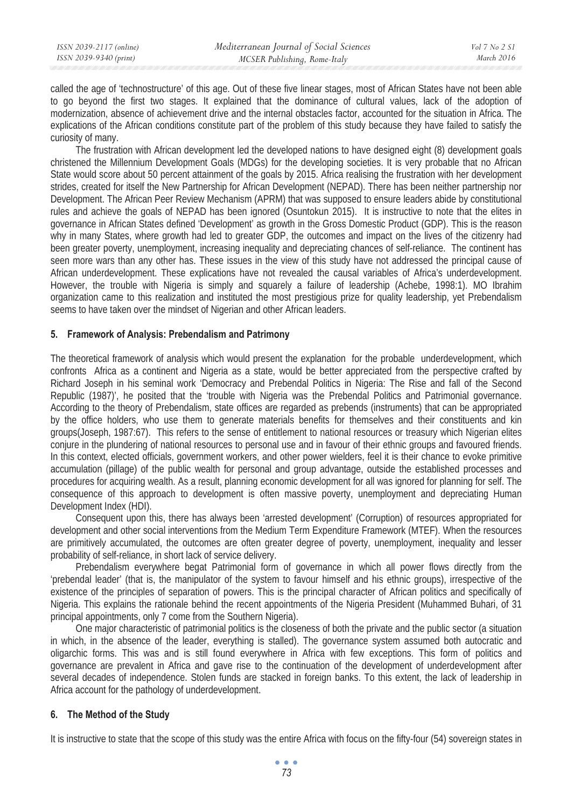called the age of 'technostructure' of this age. Out of these five linear stages, most of African States have not been able to go beyond the first two stages. It explained that the dominance of cultural values, lack of the adoption of modernization, absence of achievement drive and the internal obstacles factor, accounted for the situation in Africa. The explications of the African conditions constitute part of the problem of this study because they have failed to satisfy the curiosity of many.

The frustration with African development led the developed nations to have designed eight (8) development goals christened the Millennium Development Goals (MDGs) for the developing societies. It is very probable that no African State would score about 50 percent attainment of the goals by 2015. Africa realising the frustration with her development strides, created for itself the New Partnership for African Development (NEPAD). There has been neither partnership nor Development. The African Peer Review Mechanism (APRM) that was supposed to ensure leaders abide by constitutional rules and achieve the goals of NEPAD has been ignored (Osuntokun 2015). It is instructive to note that the elites in governance in African States defined 'Development' as growth in the Gross Domestic Product (GDP). This is the reason why in many States, where growth had led to greater GDP, the outcomes and impact on the lives of the citizenry had been greater poverty, unemployment, increasing inequality and depreciating chances of self-reliance. The continent has seen more wars than any other has. These issues in the view of this study have not addressed the principal cause of African underdevelopment. These explications have not revealed the causal variables of Africa's underdevelopment. However, the trouble with Nigeria is simply and squarely a failure of leadership (Achebe, 1998:1). MO Ibrahim organization came to this realization and instituted the most prestigious prize for quality leadership, yet Prebendalism seems to have taken over the mindset of Nigerian and other African leaders.

#### **5. Framework of Analysis: Prebendalism and Patrimony**

The theoretical framework of analysis which would present the explanation for the probable underdevelopment, which confronts Africa as a continent and Nigeria as a state, would be better appreciated from the perspective crafted by Richard Joseph in his seminal work 'Democracy and Prebendal Politics in Nigeria: The Rise and fall of the Second Republic (1987)', he posited that the 'trouble with Nigeria was the Prebendal Politics and Patrimonial governance. According to the theory of Prebendalism, state offices are regarded as prebends (instruments) that can be appropriated by the office holders, who use them to generate materials benefits for themselves and their constituents and kin groups(Joseph, 1987:67). This refers to the sense of entitlement to national resources or treasury which Nigerian elites conjure in the plundering of national resources to personal use and in favour of their ethnic groups and favoured friends. In this context, elected officials, government workers, and other power wielders, feel it is their chance to evoke primitive accumulation (pillage) of the public wealth for personal and group advantage, outside the established processes and procedures for acquiring wealth. As a result, planning economic development for all was ignored for planning for self. The consequence of this approach to development is often massive poverty, unemployment and depreciating Human Development Index (HDI).

Consequent upon this, there has always been 'arrested development' (Corruption) of resources appropriated for development and other social interventions from the Medium Term Expenditure Framework (MTEF). When the resources are primitively accumulated, the outcomes are often greater degree of poverty, unemployment, inequality and lesser probability of self-reliance, in short lack of service delivery.

Prebendalism everywhere begat Patrimonial form of governance in which all power flows directly from the 'prebendal leader' (that is, the manipulator of the system to favour himself and his ethnic groups), irrespective of the existence of the principles of separation of powers. This is the principal character of African politics and specifically of Nigeria. This explains the rationale behind the recent appointments of the Nigeria President (Muhammed Buhari, of 31 principal appointments, only 7 come from the Southern Nigeria).

One major characteristic of patrimonial politics is the closeness of both the private and the public sector (a situation in which, in the absence of the leader, everything is stalled). The governance system assumed both autocratic and oligarchic forms. This was and is still found everywhere in Africa with few exceptions. This form of politics and governance are prevalent in Africa and gave rise to the continuation of the development of underdevelopment after several decades of independence. Stolen funds are stacked in foreign banks. To this extent, the lack of leadership in Africa account for the pathology of underdevelopment.

# **6. The Method of the Study**

It is instructive to state that the scope of this study was the entire Africa with focus on the fifty-four (54) sovereign states in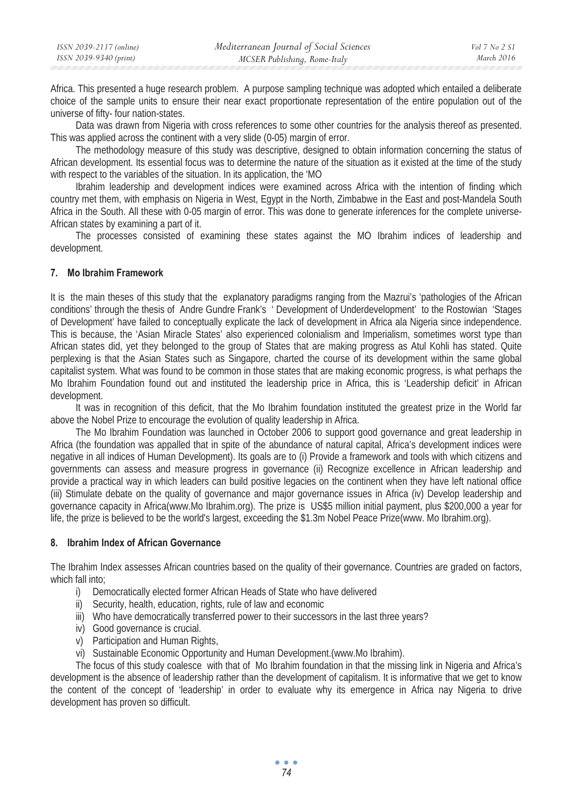| ISSN 2039-2117 (online) | Mediterranean Journal of Social Sciences | Vol 7 No 2 S1 |
|-------------------------|------------------------------------------|---------------|
| ISSN 2039-9340 (print)  | MCSER Publishing, Rome-Italy             | March 2016    |

Africa. This presented a huge research problem. A purpose sampling technique was adopted which entailed a deliberate choice of the sample units to ensure their near exact proportionate representation of the entire population out of the universe of fifty- four nation-states.

Data was drawn from Nigeria with cross references to some other countries for the analysis thereof as presented. This was applied across the continent with a very slide (0-05) margin of error.

The methodology measure of this study was descriptive, designed to obtain information concerning the status of African development. Its essential focus was to determine the nature of the situation as it existed at the time of the study with respect to the variables of the situation. In its application, the 'MO

Ibrahim leadership and development indices were examined across Africa with the intention of finding which country met them, with emphasis on Nigeria in West, Egypt in the North, Zimbabwe in the East and post-Mandela South Africa in the South. All these with 0-05 margin of error. This was done to generate inferences for the complete universe-African states by examining a part of it.

The processes consisted of examining these states against the MO Ibrahim indices of leadership and development.

#### **7. Mo Ibrahim Framework**

It is the main theses of this study that the explanatory paradigms ranging from the Mazrui's 'pathologies of the African conditions' through the thesis of Andre Gundre Frank's ' Development of Underdevelopment' to the Rostowian 'Stages of Development' have failed to conceptually explicate the lack of development in Africa ala Nigeria since independence. This is because, the 'Asian Miracle States' also experienced colonialism and Imperialism, sometimes worst type than African states did, yet they belonged to the group of States that are making progress as Atul Kohli has stated. Quite perplexing is that the Asian States such as Singapore, charted the course of its development within the same global capitalist system. What was found to be common in those states that are making economic progress, is what perhaps the Mo Ibrahim Foundation found out and instituted the leadership price in Africa, this is 'Leadership deficit' in African development.

It was in recognition of this deficit, that the Mo Ibrahim foundation instituted the greatest prize in the World far above the Nobel Prize to encourage the evolution of quality leadership in Africa.

The Mo Ibrahim Foundation was launched in October 2006 to support good governance and great leadership in Africa (the foundation was appalled that in spite of the abundance of natural capital, Africa's development indices were negative in all indices of Human Development). Its goals are to (i) Provide a framework and tools with which citizens and governments can assess and measure progress in governance (ii) Recognize excellence in African leadership and provide a practical way in which leaders can build positive legacies on the continent when they have left national office (iii) Stimulate debate on the quality of governance and major governance issues in Africa (iv) Develop leadership and governance capacity in Africa(www.Mo Ibrahim.org). The prize is US\$5 million initial payment, plus \$200,000 a year for life, the prize is believed to be the world's largest, exceeding the \$1.3m Nobel Peace Prize(www. Mo Ibrahim.org).

#### **8. Ibrahim Index of African Governance**

The Ibrahim Index assesses African countries based on the quality of their governance. Countries are graded on factors, which fall into;

- i) Democratically elected former African Heads of State who have delivered
- ii) Security, health, education, rights, rule of law and economic
- iii) Who have democratically transferred power to their successors in the last three years?
- iv) Good governance is crucial.
- v) Participation and Human Rights,
- vi) Sustainable Economic Opportunity and Human Development.(www.Mo Ibrahim).

The focus of this study coalesce with that of Mo Ibrahim foundation in that the missing link in Nigeria and Africa's development is the absence of leadership rather than the development of capitalism. It is informative that we get to know the content of the concept of 'leadership' in order to evaluate why its emergence in Africa nay Nigeria to drive development has proven so difficult.

> $\bullet$   $\bullet$   $\bullet$ *74*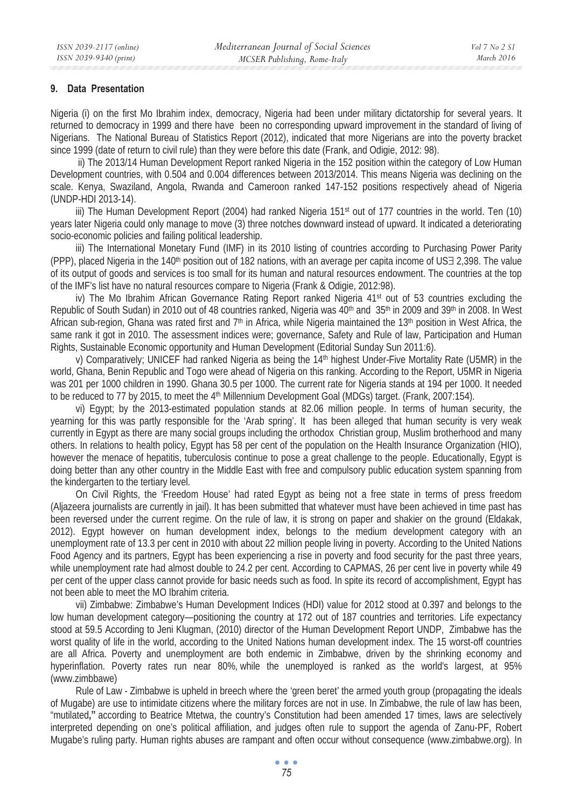#### **9. Data Presentation**

Nigeria (i) on the first Mo Ibrahim index, democracy, Nigeria had been under military dictatorship for several years. It returned to democracy in 1999 and there have been no corresponding upward improvement in the standard of living of Nigerians. The National Bureau of Statistics Report (2012), indicated that more Nigerians are into the poverty bracket since 1999 (date of return to civil rule) than they were before this date (Frank, and Odigie, 2012: 98).

 ii) The 2013/14 Human Development Report ranked Nigeria in the 152 position within the category of Low Human Development countries, with 0.504 and 0.004 differences between 2013/2014. This means Nigeria was declining on the scale. Kenya, Swaziland, Angola, Rwanda and Cameroon ranked 147-152 positions respectively ahead of Nigeria (UNDP-HDI 2013-14).

iii) The Human Development Report (2004) had ranked Nigeria 151st out of 177 countries in the world. Ten (10) years later Nigeria could only manage to move (3) three notches downward instead of upward. It indicated a deteriorating socio-economic policies and failing political leadership.

iii) The International Monetary Fund (IMF) in its 2010 listing of countries according to Purchasing Power Parity (PPP), placed Nigeria in the 140th position out of 182 nations, with an average per capita income of US∃ 2,398. The value of its output of goods and services is too small for its human and natural resources endowment. The countries at the top of the IMF's list have no natural resources compare to Nigeria (Frank & Odigie, 2012:98).

iv) The Mo Ibrahim African Governance Rating Report ranked Nigeria 41st out of 53 countries excluding the Republic of South Sudan) in 2010 out of 48 countries ranked, Nigeria was  $40<sup>th</sup>$  and  $35<sup>th</sup>$  in 2009 and  $39<sup>th</sup>$  in 2008. In West African sub-region, Ghana was rated first and  $7<sup>th</sup>$  in Africa, while Nigeria maintained the 13<sup>th</sup> position in West Africa, the same rank it got in 2010. The assessment indices were; governance, Safety and Rule of law, Participation and Human Rights, Sustainable Economic opportunity and Human Development (Editorial Sunday Sun 2011:6).

v) Comparatively; UNICEF had ranked Nigeria as being the 14th highest Under-Five Mortality Rate (U5MR) in the world, Ghana, Benin Republic and Togo were ahead of Nigeria on this ranking. According to the Report, U5MR in Nigeria was 201 per 1000 children in 1990. Ghana 30.5 per 1000. The current rate for Nigeria stands at 194 per 1000. It needed to be reduced to 77 by 2015, to meet the 4<sup>th</sup> Millennium Development Goal (MDGs) target. (Frank, 2007:154).

vi) Egypt; by the 2013-estimated population stands at 82.06 million people. In terms of human security, the yearning for this was partly responsible for the 'Arab spring'. It has been alleged that human security is very weak currently in Egypt as there are many social groups including the orthodox Christian group, Muslim brotherhood and many others. In relations to health policy, Egypt has 58 per cent of the population on the Health Insurance Organization (HIO), however the menace of hepatitis, tuberculosis continue to pose a great challenge to the people. Educationally, Egypt is doing better than any other country in the Middle East with free and compulsory public education system spanning from the kindergarten to the tertiary level.

On Civil Rights, the 'Freedom House' had rated Egypt as being not a free state in terms of press freedom (Aljazeera journalists are currently in jail). It has been submitted that whatever must have been achieved in time past has been reversed under the current regime. On the rule of law, it is strong on paper and shakier on the ground (Eldakak, 2012). Egypt however on human development index, belongs to the medium development category with an unemployment rate of 13.3 per cent in 2010 with about 22 million people living in poverty. According to the United Nations Food Agency and its partners, Egypt has been experiencing a rise in poverty and food security for the past three years, while unemployment rate had almost double to 24.2 per cent. According to CAPMAS, 26 per cent live in poverty while 49 per cent of the upper class cannot provide for basic needs such as food. In spite its record of accomplishment, Egypt has not been able to meet the MO Ibrahim criteria.

vii) Zimbabwe: Zimbabwe's Human Development Indices (HDI) value for 2012 stood at 0.397 and belongs to the low human development category—positioning the country at 172 out of 187 countries and territories. Life expectancy stood at 59.5 According to Jeni Klugman, (2010) director of the Human Development Report UNDP, Zimbabwe has the worst quality of life in the world, according to the United Nations human development index. The 15 worst-off countries are all Africa. Poverty and unemployment are both endemic in Zimbabwe, driven by the shrinking economy and hyperinflation. Poverty rates run near 80%, while the unemployed is ranked as the world's largest, at 95% (www.zimbbawe)

Rule of Law - Zimbabwe is upheld in breech where the 'green beret' the armed youth group (propagating the ideals of Mugabe) are use to intimidate citizens where the military forces are not in use. In Zimbabwe, the rule of law has been, "mutilated**,"** according to Beatrice Mtetwa, the country's Constitution had been amended 17 times, laws are selectively interpreted depending on one's political affiliation, and judges often rule to support the agenda of Zanu-PF, Robert Mugabe's ruling party. Human rights abuses are rampant and often occur without consequence (www.zimbabwe.org). In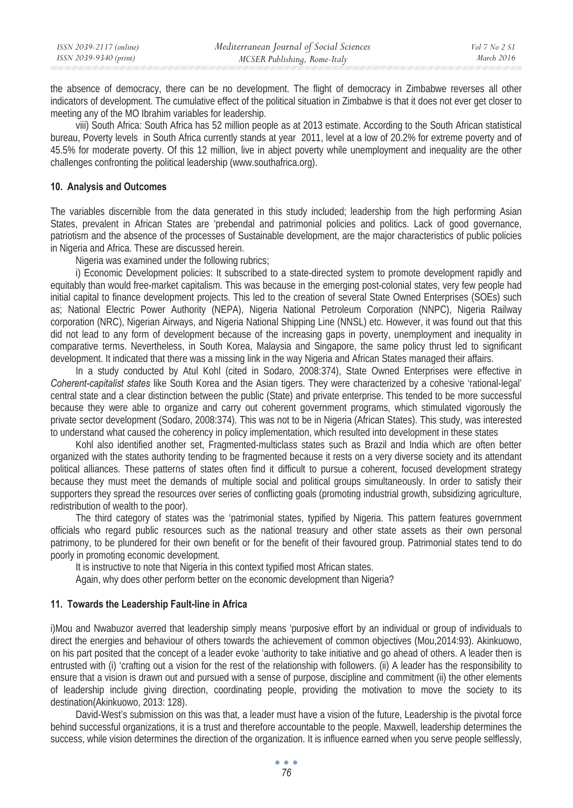| ISSN 2039-2117 (online) | Mediterranean Journal of Social Sciences | Vol 7 No 2 S1 |
|-------------------------|------------------------------------------|---------------|
| ISSN 2039-9340 (print)  | MCSER Publishing, Rome-Italy             | March 2016    |

the absence of democracy, there can be no development. The flight of democracy in Zimbabwe reverses all other indicators of development. The cumulative effect of the political situation in Zimbabwe is that it does not ever get closer to meeting any of the MO Ibrahim variables for leadership.

viii) South Africa: South Africa has 52 million people as at 2013 estimate. According to the South African statistical bureau, Poverty levels in South Africa currently stands at year 2011, level at a low of 20.2% for extreme poverty and of 45.5% for moderate poverty. Of this 12 million, live in abject poverty while unemployment and inequality are the other challenges confronting the political leadership (www.southafrica.org).

#### **10. Analysis and Outcomes**

The variables discernible from the data generated in this study included; leadership from the high performing Asian States, prevalent in African States are 'prebendal and patrimonial policies and politics. Lack of good governance, patriotism and the absence of the processes of Sustainable development, are the major characteristics of public policies in Nigeria and Africa. These are discussed herein.

Nigeria was examined under the following rubrics;

i) Economic Development policies: It subscribed to a state-directed system to promote development rapidly and equitably than would free-market capitalism. This was because in the emerging post-colonial states, very few people had initial capital to finance development projects. This led to the creation of several State Owned Enterprises (SOEs) such as; National Electric Power Authority (NEPA), Nigeria National Petroleum Corporation (NNPC), Nigeria Railway corporation (NRC), Nigerian Airways, and Nigeria National Shipping Line (NNSL) etc. However, it was found out that this did not lead to any form of development because of the increasing gaps in poverty, unemployment and inequality in comparative terms. Nevertheless, in South Korea, Malaysia and Singapore, the same policy thrust led to significant development. It indicated that there was a missing link in the way Nigeria and African States managed their affairs.

In a study conducted by Atul Kohl (cited in Sodaro, 2008:374), State Owned Enterprises were effective in *Coherent-capitalist states* like South Korea and the Asian tigers. They were characterized by a cohesive 'rational-legal' central state and a clear distinction between the public (State) and private enterprise. This tended to be more successful because they were able to organize and carry out coherent government programs, which stimulated vigorously the private sector development (Sodaro, 2008:374). This was not to be in Nigeria (African States). This study, was interested to understand what caused the coherency in policy implementation, which resulted into development in these states

Kohl also identified another set, Fragmented-multiclass states such as Brazil and India which are often better organized with the states authority tending to be fragmented because it rests on a very diverse society and its attendant political alliances. These patterns of states often find it difficult to pursue a coherent, focused development strategy because they must meet the demands of multiple social and political groups simultaneously. In order to satisfy their supporters they spread the resources over series of conflicting goals (promoting industrial growth, subsidizing agriculture, redistribution of wealth to the poor).

The third category of states was the 'patrimonial states, typified by Nigeria. This pattern features government officials who regard public resources such as the national treasury and other state assets as their own personal patrimony, to be plundered for their own benefit or for the benefit of their favoured group. Patrimonial states tend to do poorly in promoting economic development.

It is instructive to note that Nigeria in this context typified most African states.

Again, why does other perform better on the economic development than Nigeria?

# **11. Towards the Leadership Fault-line in Africa**

i)Mou and Nwabuzor averred that leadership simply means 'purposive effort by an individual or group of individuals to direct the energies and behaviour of others towards the achievement of common objectives (Mou,2014:93). Akinkuowo, on his part posited that the concept of a leader evoke 'authority to take initiative and go ahead of others. A leader then is entrusted with (i) 'crafting out a vision for the rest of the relationship with followers. (ii) A leader has the responsibility to ensure that a vision is drawn out and pursued with a sense of purpose, discipline and commitment (ii) the other elements of leadership include giving direction, coordinating people, providing the motivation to move the society to its destination(Akinkuowo, 2013: 128).

David-West's submission on this was that, a leader must have a vision of the future, Leadership is the pivotal force behind successful organizations, it is a trust and therefore accountable to the people. Maxwell, leadership determines the success, while vision determines the direction of the organization. It is influence earned when you serve people selflessly,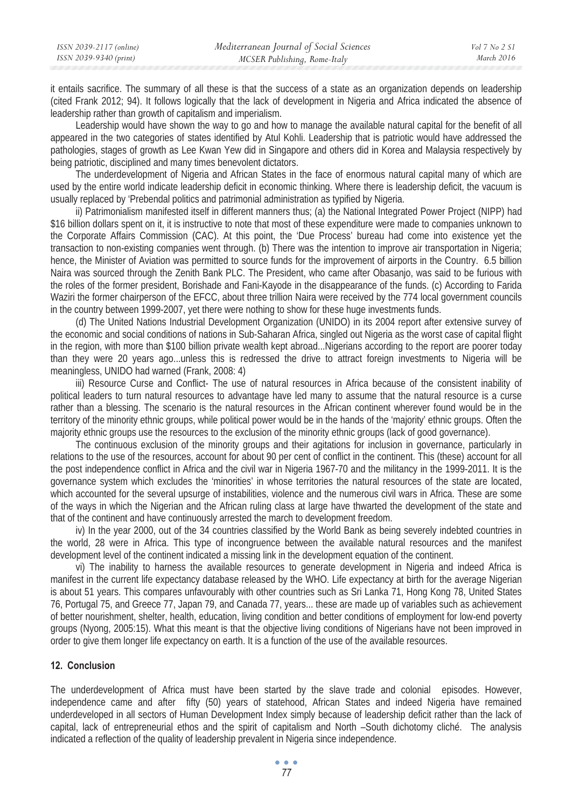it entails sacrifice. The summary of all these is that the success of a state as an organization depends on leadership (cited Frank 2012; 94). It follows logically that the lack of development in Nigeria and Africa indicated the absence of leadership rather than growth of capitalism and imperialism.

Leadership would have shown the way to go and how to manage the available natural capital for the benefit of all appeared in the two categories of states identified by Atul Kohli. Leadership that is patriotic would have addressed the pathologies, stages of growth as Lee Kwan Yew did in Singapore and others did in Korea and Malaysia respectively by being patriotic, disciplined and many times benevolent dictators.

The underdevelopment of Nigeria and African States in the face of enormous natural capital many of which are used by the entire world indicate leadership deficit in economic thinking. Where there is leadership deficit, the vacuum is usually replaced by 'Prebendal politics and patrimonial administration as typified by Nigeria.

ii) Patrimonialism manifested itself in different manners thus; (a) the National Integrated Power Project (NIPP) had \$16 billion dollars spent on it, it is instructive to note that most of these expenditure were made to companies unknown to the Corporate Affairs Commission (CAC). At this point, the 'Due Process' bureau had come into existence yet the transaction to non-existing companies went through. (b) There was the intention to improve air transportation in Nigeria; hence, the Minister of Aviation was permitted to source funds for the improvement of airports in the Country. 6.5 billion Naira was sourced through the Zenith Bank PLC. The President, who came after Obasanjo, was said to be furious with the roles of the former president, Borishade and Fani-Kayode in the disappearance of the funds. (c) According to Farida Waziri the former chairperson of the EFCC, about three trillion Naira were received by the 774 local government councils in the country between 1999-2007, yet there were nothing to show for these huge investments funds.

(d) The United Nations Industrial Development Organization (UNIDO) in its 2004 report after extensive survey of the economic and social conditions of nations in Sub-Saharan Africa, singled out Nigeria as the worst case of capital flight in the region, with more than \$100 billion private wealth kept abroad...Nigerians according to the report are poorer today than they were 20 years ago...unless this is redressed the drive to attract foreign investments to Nigeria will be meaningless, UNIDO had warned (Frank, 2008: 4)

iii) Resource Curse and Conflict- The use of natural resources in Africa because of the consistent inability of political leaders to turn natural resources to advantage have led many to assume that the natural resource is a curse rather than a blessing. The scenario is the natural resources in the African continent wherever found would be in the territory of the minority ethnic groups, while political power would be in the hands of the 'majority' ethnic groups. Often the majority ethnic groups use the resources to the exclusion of the minority ethnic groups (lack of good governance).

The continuous exclusion of the minority groups and their agitations for inclusion in governance, particularly in relations to the use of the resources, account for about 90 per cent of conflict in the continent. This (these) account for all the post independence conflict in Africa and the civil war in Nigeria 1967-70 and the militancy in the 1999-2011. It is the governance system which excludes the 'minorities' in whose territories the natural resources of the state are located, which accounted for the several upsurge of instabilities, violence and the numerous civil wars in Africa. These are some of the ways in which the Nigerian and the African ruling class at large have thwarted the development of the state and that of the continent and have continuously arrested the march to development freedom.

iv) In the year 2000, out of the 34 countries classified by the World Bank as being severely indebted countries in the world, 28 were in Africa. This type of incongruence between the available natural resources and the manifest development level of the continent indicated a missing link in the development equation of the continent.

vi) The inability to harness the available resources to generate development in Nigeria and indeed Africa is manifest in the current life expectancy database released by the WHO. Life expectancy at birth for the average Nigerian is about 51 years. This compares unfavourably with other countries such as Sri Lanka 71, Hong Kong 78, United States 76, Portugal 75, and Greece 77, Japan 79, and Canada 77, years... these are made up of variables such as achievement of better nourishment, shelter, health, education, living condition and better conditions of employment for low-end poverty groups (Nyong, 2005:15). What this meant is that the objective living conditions of Nigerians have not been improved in order to give them longer life expectancy on earth. It is a function of the use of the available resources.

#### **12. Conclusion**

The underdevelopment of Africa must have been started by the slave trade and colonial episodes. However, independence came and after fifty (50) years of statehood, African States and indeed Nigeria have remained underdeveloped in all sectors of Human Development Index simply because of leadership deficit rather than the lack of capital, lack of entrepreneurial ethos and the spirit of capitalism and North –South dichotomy cliché. The analysis indicated a reflection of the quality of leadership prevalent in Nigeria since independence.